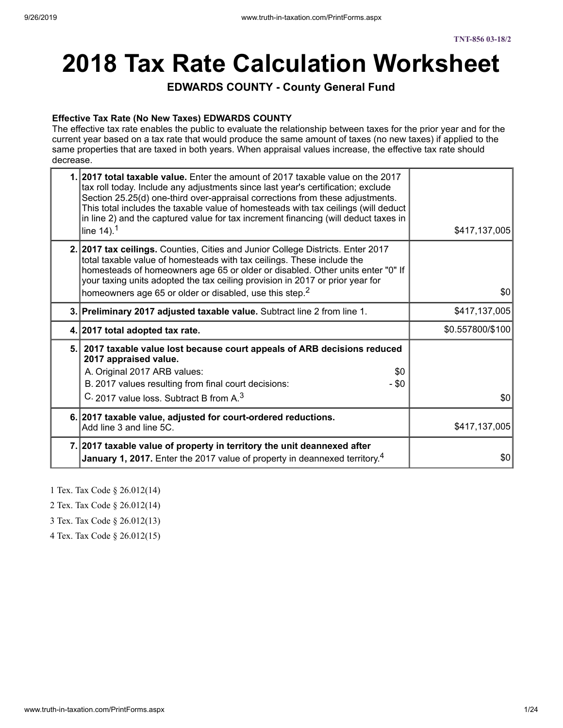# **2018 Tax Rate Calculation Worksheet**

### **EDWARDS COUNTY - County General Fund**

#### **Effective Tax Rate (No New Taxes) EDWARDS COUNTY**

The effective tax rate enables the public to evaluate the relationship between taxes for the prior year and for the current year based on a tax rate that would produce the same amount of taxes (no new taxes) if applied to the same properties that are taxed in both years. When appraisal values increase, the effective tax rate should decrease.

| 1. 2017 total taxable value. Enter the amount of 2017 taxable value on the 2017<br>tax roll today. Include any adjustments since last year's certification; exclude<br>Section 25.25(d) one-third over-appraisal corrections from these adjustments.<br>This total includes the taxable value of homesteads with tax ceilings (will deduct<br>in line 2) and the captured value for tax increment financing (will deduct taxes in<br>line $14$ ). <sup>1</sup> | \$417,137,005    |
|----------------------------------------------------------------------------------------------------------------------------------------------------------------------------------------------------------------------------------------------------------------------------------------------------------------------------------------------------------------------------------------------------------------------------------------------------------------|------------------|
| 2. 2017 tax ceilings. Counties, Cities and Junior College Districts. Enter 2017<br>total taxable value of homesteads with tax ceilings. These include the<br>homesteads of homeowners age 65 or older or disabled. Other units enter "0" If<br>your taxing units adopted the tax ceiling provision in 2017 or prior year for<br>homeowners age 65 or older or disabled, use this step. <sup>2</sup>                                                            | \$0 <sub>1</sub> |
| 3. Preliminary 2017 adjusted taxable value. Subtract line 2 from line 1.                                                                                                                                                                                                                                                                                                                                                                                       | \$417,137,005    |
| 4. 2017 total adopted tax rate.                                                                                                                                                                                                                                                                                                                                                                                                                                | \$0.557800/\$100 |
| 5. 2017 taxable value lost because court appeals of ARB decisions reduced<br>2017 appraised value.<br>A. Original 2017 ARB values:<br>\$0<br>B. 2017 values resulting from final court decisions:<br>$-$ \$0<br>C. 2017 value loss. Subtract B from A. <sup>3</sup>                                                                                                                                                                                            | \$0              |
| 6. 2017 taxable value, adjusted for court-ordered reductions.<br>Add line 3 and line 5C.                                                                                                                                                                                                                                                                                                                                                                       | \$417,137,005    |
| 7. 2017 taxable value of property in territory the unit deannexed after<br><b>January 1, 2017.</b> Enter the 2017 value of property in deannexed territory. <sup>4</sup>                                                                                                                                                                                                                                                                                       | \$0              |

1 Tex. Tax Code § 26.012(14)

2 Tex. Tax Code § 26.012(14)

3 Tex. Tax Code § 26.012(13)

4 Tex. Tax Code § 26.012(15)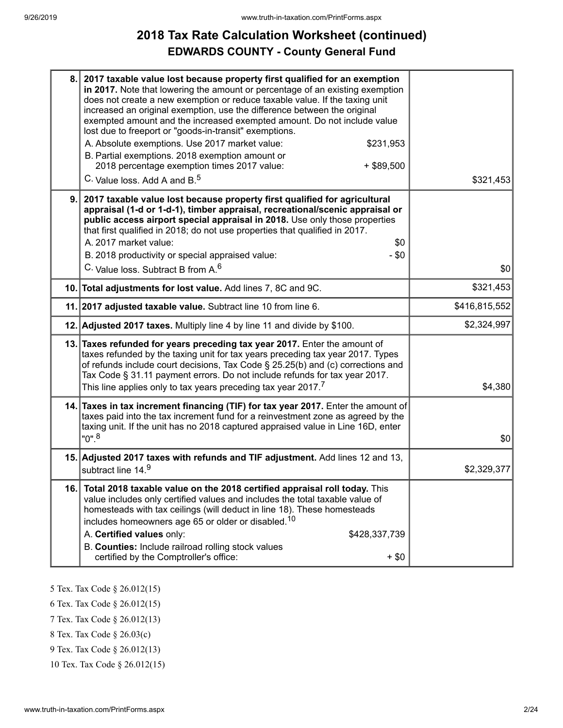# **2018 Tax Rate Calculation Worksheet (continued) EDWARDS COUNTY - County General Fund**

| 8.  | 2017 taxable value lost because property first qualified for an exemption<br>in 2017. Note that lowering the amount or percentage of an existing exemption<br>does not create a new exemption or reduce taxable value. If the taxing unit<br>increased an original exemption, use the difference between the original<br>exempted amount and the increased exempted amount. Do not include value<br>lost due to freeport or "goods-in-transit" exemptions.<br>A. Absolute exemptions. Use 2017 market value:<br>\$231,953<br>B. Partial exemptions. 2018 exemption amount or<br>2018 percentage exemption times 2017 value:<br>$+$ \$89,500<br>C. Value loss. Add A and B. <sup>5</sup> | \$321,453     |
|-----|-----------------------------------------------------------------------------------------------------------------------------------------------------------------------------------------------------------------------------------------------------------------------------------------------------------------------------------------------------------------------------------------------------------------------------------------------------------------------------------------------------------------------------------------------------------------------------------------------------------------------------------------------------------------------------------------|---------------|
| 9.  | 2017 taxable value lost because property first qualified for agricultural<br>appraisal (1-d or 1-d-1), timber appraisal, recreational/scenic appraisal or<br>public access airport special appraisal in 2018. Use only those properties<br>that first qualified in 2018; do not use properties that qualified in 2017.<br>A. 2017 market value:<br>\$0<br>B. 2018 productivity or special appraised value:<br>$-$ \$0<br>C. Value loss. Subtract B from A. <sup>6</sup>                                                                                                                                                                                                                 | \$0           |
|     | 10. Total adjustments for lost value. Add lines 7, 8C and 9C.                                                                                                                                                                                                                                                                                                                                                                                                                                                                                                                                                                                                                           | \$321,453     |
|     | 11. 2017 adjusted taxable value. Subtract line 10 from line 6.                                                                                                                                                                                                                                                                                                                                                                                                                                                                                                                                                                                                                          | \$416,815,552 |
|     | 12. Adjusted 2017 taxes. Multiply line 4 by line 11 and divide by \$100.                                                                                                                                                                                                                                                                                                                                                                                                                                                                                                                                                                                                                | \$2,324,997   |
|     | 13. Taxes refunded for years preceding tax year 2017. Enter the amount of<br>taxes refunded by the taxing unit for tax years preceding tax year 2017. Types<br>of refunds include court decisions, Tax Code § 25.25(b) and (c) corrections and<br>Tax Code § 31.11 payment errors. Do not include refunds for tax year 2017.<br>This line applies only to tax years preceding tax year 2017. <sup>7</sup>                                                                                                                                                                                                                                                                               | \$4,380       |
|     | 14. Taxes in tax increment financing (TIF) for tax year 2017. Enter the amount of<br>taxes paid into the tax increment fund for a reinvestment zone as agreed by the<br>taxing unit. If the unit has no 2018 captured appraised value in Line 16D, enter<br>$"0"$ . <sup>8</sup>                                                                                                                                                                                                                                                                                                                                                                                                        | \$0           |
|     | 15. Adjusted 2017 taxes with refunds and TIF adjustment. Add lines 12 and 13,<br>subtract line 14.9                                                                                                                                                                                                                                                                                                                                                                                                                                                                                                                                                                                     | \$2,329,377   |
| 16. | Total 2018 taxable value on the 2018 certified appraisal roll today. This<br>value includes only certified values and includes the total taxable value of<br>homesteads with tax ceilings (will deduct in line 18). These homesteads<br>includes homeowners age 65 or older or disabled. <sup>10</sup><br>A. Certified values only:<br>\$428,337,739<br>B. Counties: Include railroad rolling stock values<br>certified by the Comptroller's office:<br>$+$ \$0                                                                                                                                                                                                                         |               |

- 5 Tex. Tax Code § 26.012(15)
- 6 Tex. Tax Code § 26.012(15)
- 7 Tex. Tax Code § 26.012(13)
- 8 Tex. Tax Code § 26.03(c)
- 9 Tex. Tax Code § 26.012(13)
- 10 Tex. Tax Code § 26.012(15)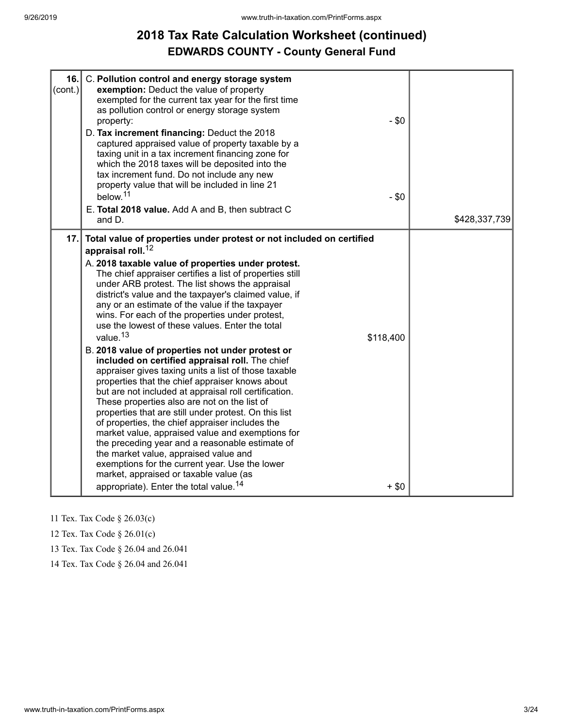# **2018 Tax Rate Calculation Worksheet (continued) EDWARDS COUNTY - County General Fund**

| 16.<br>$\text{(cont.)}$ | C. Pollution control and energy storage system<br>exemption: Deduct the value of property<br>exempted for the current tax year for the first time<br>as pollution control or energy storage system<br>$-$ \$0<br>property:<br>D. Tax increment financing: Deduct the 2018<br>captured appraised value of property taxable by a<br>taxing unit in a tax increment financing zone for<br>which the 2018 taxes will be deposited into the<br>tax increment fund. Do not include any new<br>property value that will be included in line 21<br>below. <sup>11</sup><br>$-$ \$0<br>E. Total 2018 value. Add A and B, then subtract C<br>and D.                                                                                                                                                                                                                                                                                                                                                                                                                                                                                                                                                                                                                                             | \$428,337,739 |
|-------------------------|---------------------------------------------------------------------------------------------------------------------------------------------------------------------------------------------------------------------------------------------------------------------------------------------------------------------------------------------------------------------------------------------------------------------------------------------------------------------------------------------------------------------------------------------------------------------------------------------------------------------------------------------------------------------------------------------------------------------------------------------------------------------------------------------------------------------------------------------------------------------------------------------------------------------------------------------------------------------------------------------------------------------------------------------------------------------------------------------------------------------------------------------------------------------------------------------------------------------------------------------------------------------------------------|---------------|
| 17.                     | Total value of properties under protest or not included on certified<br>appraisal roll. <sup>12</sup><br>A. 2018 taxable value of properties under protest.<br>The chief appraiser certifies a list of properties still<br>under ARB protest. The list shows the appraisal<br>district's value and the taxpayer's claimed value, if<br>any or an estimate of the value if the taxpayer<br>wins. For each of the properties under protest,<br>use the lowest of these values. Enter the total<br>value. <sup>13</sup><br>\$118,400<br>B. 2018 value of properties not under protest or<br>included on certified appraisal roll. The chief<br>appraiser gives taxing units a list of those taxable<br>properties that the chief appraiser knows about<br>but are not included at appraisal roll certification.<br>These properties also are not on the list of<br>properties that are still under protest. On this list<br>of properties, the chief appraiser includes the<br>market value, appraised value and exemptions for<br>the preceding year and a reasonable estimate of<br>the market value, appraised value and<br>exemptions for the current year. Use the lower<br>market, appraised or taxable value (as<br>appropriate). Enter the total value. <sup>14</sup><br>$+$ \$0 |               |

- 11 Tex. Tax Code § 26.03(c)
- 12 Tex. Tax Code § 26.01(c)

13 Tex. Tax Code § 26.04 and 26.041

14 Tex. Tax Code § 26.04 and 26.041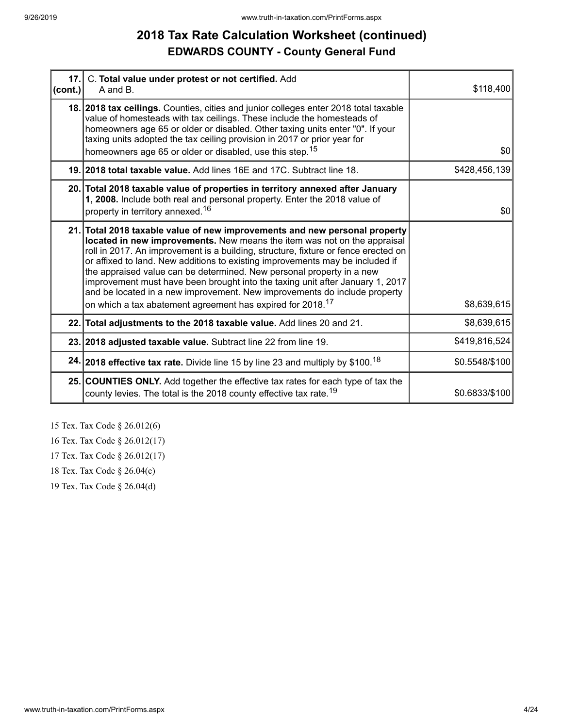# **2018 Tax Rate Calculation Worksheet (continued) EDWARDS COUNTY - County General Fund**

| $ $ (cont.) | 17. C. Total value under protest or not certified. Add<br>A and B.                                                                                                                                                                                                                                                                                                                                                                                                                                                                                                                                                                             | \$118,400      |
|-------------|------------------------------------------------------------------------------------------------------------------------------------------------------------------------------------------------------------------------------------------------------------------------------------------------------------------------------------------------------------------------------------------------------------------------------------------------------------------------------------------------------------------------------------------------------------------------------------------------------------------------------------------------|----------------|
|             | 18. 2018 tax ceilings. Counties, cities and junior colleges enter 2018 total taxable<br>value of homesteads with tax ceilings. These include the homesteads of<br>homeowners age 65 or older or disabled. Other taxing units enter "0". If your<br>taxing units adopted the tax ceiling provision in 2017 or prior year for<br>homeowners age 65 or older or disabled, use this step. <sup>15</sup>                                                                                                                                                                                                                                            | \$0            |
|             | 19. 2018 total taxable value. Add lines 16E and 17C. Subtract line 18.                                                                                                                                                                                                                                                                                                                                                                                                                                                                                                                                                                         | \$428,456,139  |
|             | 20. Total 2018 taxable value of properties in territory annexed after January<br>1, 2008. Include both real and personal property. Enter the 2018 value of<br>property in territory annexed. <sup>16</sup>                                                                                                                                                                                                                                                                                                                                                                                                                                     | \$0            |
|             | 21. Total 2018 taxable value of new improvements and new personal property<br>located in new improvements. New means the item was not on the appraisal<br>roll in 2017. An improvement is a building, structure, fixture or fence erected on<br>or affixed to land. New additions to existing improvements may be included if<br>the appraised value can be determined. New personal property in a new<br>improvement must have been brought into the taxing unit after January 1, 2017<br>and be located in a new improvement. New improvements do include property<br>on which a tax abatement agreement has expired for 2018. <sup>17</sup> | \$8,639,615    |
|             | 22. Total adjustments to the 2018 taxable value. Add lines 20 and 21.                                                                                                                                                                                                                                                                                                                                                                                                                                                                                                                                                                          | \$8,639,615    |
|             | 23. 2018 adjusted taxable value. Subtract line 22 from line 19.                                                                                                                                                                                                                                                                                                                                                                                                                                                                                                                                                                                | \$419,816,524  |
|             | 24. 2018 effective tax rate. Divide line 15 by line 23 and multiply by \$100. <sup>18</sup>                                                                                                                                                                                                                                                                                                                                                                                                                                                                                                                                                    | \$0.5548/\$100 |
|             | 25. COUNTIES ONLY. Add together the effective tax rates for each type of tax the<br>county levies. The total is the 2018 county effective tax rate. <sup>19</sup>                                                                                                                                                                                                                                                                                                                                                                                                                                                                              | \$0.6833/\$100 |

15 Tex. Tax Code § 26.012(6)

16 Tex. Tax Code § 26.012(17)

17 Tex. Tax Code § 26.012(17)

18 Tex. Tax Code § 26.04(c)

19 Tex. Tax Code § 26.04(d)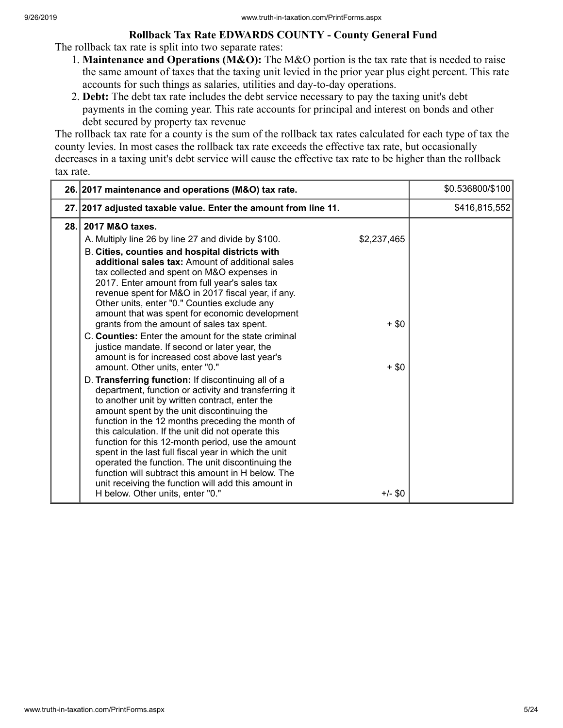### **Rollback Tax Rate EDWARDS COUNTY - County General Fund**

The rollback tax rate is split into two separate rates:

- 1. **Maintenance and Operations (M&O):** The M&O portion is the tax rate that is needed to raise the same amount of taxes that the taxing unit levied in the prior year plus eight percent. This rate accounts for such things as salaries, utilities and day-to-day operations.
- 2. **Debt:** The debt tax rate includes the debt service necessary to pay the taxing unit's debt payments in the coming year. This rate accounts for principal and interest on bonds and other debt secured by property tax revenue

The rollback tax rate for a county is the sum of the rollback tax rates calculated for each type of tax the county levies. In most cases the rollback tax rate exceeds the effective tax rate, but occasionally decreases in a taxing unit's debt service will cause the effective tax rate to be higher than the rollback tax rate.

|      | 26. 2017 maintenance and operations (M&O) tax rate.                                                                                                                                                                                                                                                                                                                                                                                                                                                                                                                                                                                                                                                                                                                                                                                                                                                                                                                                                                                                                                                                                                                                                                                                                                                                           | \$0.536800/\$100 |
|------|-------------------------------------------------------------------------------------------------------------------------------------------------------------------------------------------------------------------------------------------------------------------------------------------------------------------------------------------------------------------------------------------------------------------------------------------------------------------------------------------------------------------------------------------------------------------------------------------------------------------------------------------------------------------------------------------------------------------------------------------------------------------------------------------------------------------------------------------------------------------------------------------------------------------------------------------------------------------------------------------------------------------------------------------------------------------------------------------------------------------------------------------------------------------------------------------------------------------------------------------------------------------------------------------------------------------------------|------------------|
|      | 27. 2017 adjusted taxable value. Enter the amount from line 11.                                                                                                                                                                                                                                                                                                                                                                                                                                                                                                                                                                                                                                                                                                                                                                                                                                                                                                                                                                                                                                                                                                                                                                                                                                                               | \$416,815,552    |
| 28.1 | 2017 M&O taxes.<br>\$2,237,465<br>A. Multiply line 26 by line 27 and divide by \$100.<br>B. Cities, counties and hospital districts with<br>additional sales tax: Amount of additional sales<br>tax collected and spent on M&O expenses in<br>2017. Enter amount from full year's sales tax<br>revenue spent for M&O in 2017 fiscal year, if any.<br>Other units, enter "0." Counties exclude any<br>amount that was spent for economic development<br>grants from the amount of sales tax spent.<br>$+$ \$0<br>C. Counties: Enter the amount for the state criminal<br>justice mandate. If second or later year, the<br>amount is for increased cost above last year's<br>amount. Other units, enter "0."<br>$+$ \$0<br>D. Transferring function: If discontinuing all of a<br>department, function or activity and transferring it<br>to another unit by written contract, enter the<br>amount spent by the unit discontinuing the<br>function in the 12 months preceding the month of<br>this calculation. If the unit did not operate this<br>function for this 12-month period, use the amount<br>spent in the last full fiscal year in which the unit<br>operated the function. The unit discontinuing the<br>function will subtract this amount in H below. The<br>unit receiving the function will add this amount in |                  |
|      | $+/-$ \$0<br>H below. Other units, enter "0."                                                                                                                                                                                                                                                                                                                                                                                                                                                                                                                                                                                                                                                                                                                                                                                                                                                                                                                                                                                                                                                                                                                                                                                                                                                                                 |                  |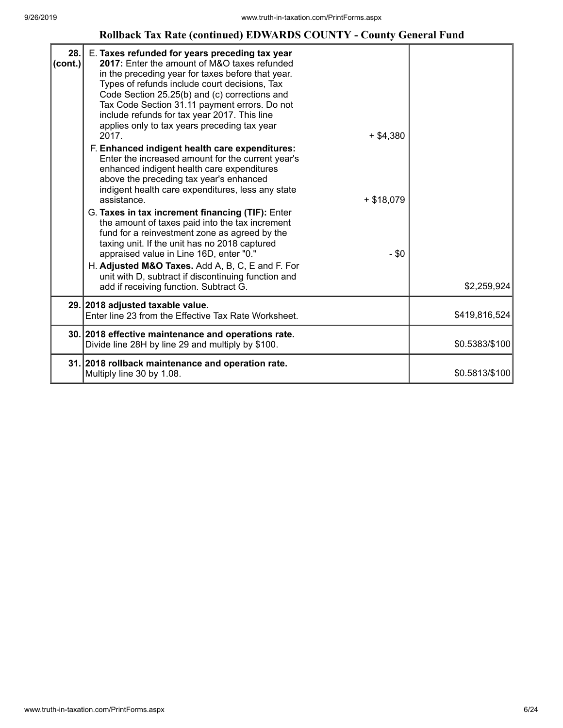### **Rollback Tax Rate (continued) EDWARDS COUNTY - County General Fund**

| 28.<br>(cont.) | E. Taxes refunded for years preceding tax year<br>2017: Enter the amount of M&O taxes refunded<br>in the preceding year for taxes before that year.<br>Types of refunds include court decisions, Tax<br>Code Section 25.25(b) and (c) corrections and<br>Tax Code Section 31.11 payment errors. Do not<br>include refunds for tax year 2017. This line<br>applies only to tax years preceding tax year<br>2017.<br>$+$ \$4,380<br>F. Enhanced indigent health care expenditures:<br>Enter the increased amount for the current year's<br>enhanced indigent health care expenditures<br>above the preceding tax year's enhanced<br>indigent health care expenditures, less any state<br>$+ $18,079$<br>assistance.<br>G. Taxes in tax increment financing (TIF): Enter<br>the amount of taxes paid into the tax increment<br>fund for a reinvestment zone as agreed by the<br>taxing unit. If the unit has no 2018 captured<br>$-$ \$0<br>appraised value in Line 16D, enter "0."<br>H. Adjusted M&O Taxes. Add A, B, C, E and F. For<br>unit with D, subtract if discontinuing function and<br>add if receiving function. Subtract G. | \$2,259,924    |
|----------------|---------------------------------------------------------------------------------------------------------------------------------------------------------------------------------------------------------------------------------------------------------------------------------------------------------------------------------------------------------------------------------------------------------------------------------------------------------------------------------------------------------------------------------------------------------------------------------------------------------------------------------------------------------------------------------------------------------------------------------------------------------------------------------------------------------------------------------------------------------------------------------------------------------------------------------------------------------------------------------------------------------------------------------------------------------------------------------------------------------------------------------------|----------------|
|                | 29. 2018 adjusted taxable value.<br>Enter line 23 from the Effective Tax Rate Worksheet.                                                                                                                                                                                                                                                                                                                                                                                                                                                                                                                                                                                                                                                                                                                                                                                                                                                                                                                                                                                                                                              | \$419,816,524  |
|                |                                                                                                                                                                                                                                                                                                                                                                                                                                                                                                                                                                                                                                                                                                                                                                                                                                                                                                                                                                                                                                                                                                                                       |                |
|                | 30. 2018 effective maintenance and operations rate.<br>Divide line 28H by line 29 and multiply by \$100.                                                                                                                                                                                                                                                                                                                                                                                                                                                                                                                                                                                                                                                                                                                                                                                                                                                                                                                                                                                                                              | \$0.5383/\$100 |
|                | 31. 2018 rollback maintenance and operation rate.<br>Multiply line 30 by 1.08.                                                                                                                                                                                                                                                                                                                                                                                                                                                                                                                                                                                                                                                                                                                                                                                                                                                                                                                                                                                                                                                        | \$0.5813/\$100 |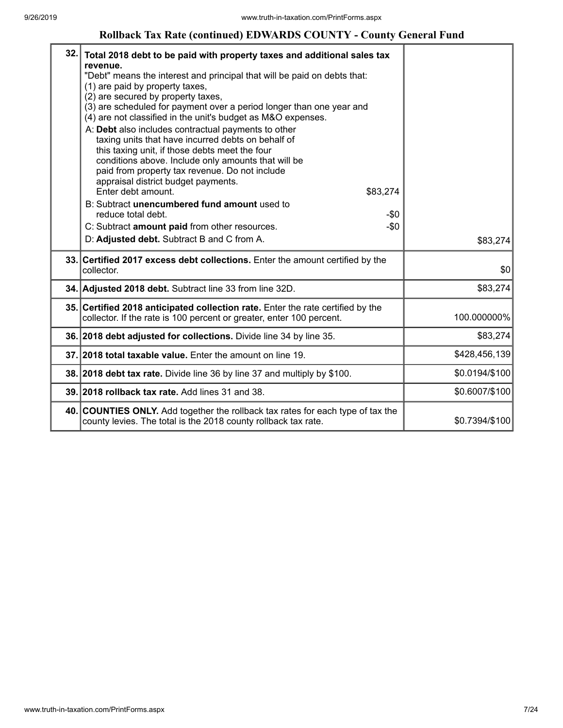### **Rollback Tax Rate (continued) EDWARDS COUNTY - County General Fund**

| 32. | Total 2018 debt to be paid with property taxes and additional sales tax<br>revenue.<br>"Debt" means the interest and principal that will be paid on debts that:<br>(1) are paid by property taxes,<br>(2) are secured by property taxes,<br>(3) are scheduled for payment over a period longer than one year and<br>(4) are not classified in the unit's budget as M&O expenses.<br>A: Debt also includes contractual payments to other<br>taxing units that have incurred debts on behalf of<br>this taxing unit, if those debts meet the four<br>conditions above. Include only amounts that will be<br>paid from property tax revenue. Do not include<br>appraisal district budget payments.<br>Enter debt amount.<br>\$83,274<br>B: Subtract unencumbered fund amount used to<br>reduce total debt.<br>$-$0$<br>$-\$0$<br>C: Subtract amount paid from other resources.<br>D: Adjusted debt. Subtract B and C from A. | \$83,274       |
|-----|---------------------------------------------------------------------------------------------------------------------------------------------------------------------------------------------------------------------------------------------------------------------------------------------------------------------------------------------------------------------------------------------------------------------------------------------------------------------------------------------------------------------------------------------------------------------------------------------------------------------------------------------------------------------------------------------------------------------------------------------------------------------------------------------------------------------------------------------------------------------------------------------------------------------------|----------------|
|     | 33. Certified 2017 excess debt collections. Enter the amount certified by the<br>collector.                                                                                                                                                                                                                                                                                                                                                                                                                                                                                                                                                                                                                                                                                                                                                                                                                               | \$0            |
|     | 34. Adjusted 2018 debt. Subtract line 33 from line 32D.                                                                                                                                                                                                                                                                                                                                                                                                                                                                                                                                                                                                                                                                                                                                                                                                                                                                   | \$83,274       |
|     | 35. Certified 2018 anticipated collection rate. Enter the rate certified by the<br>collector. If the rate is 100 percent or greater, enter 100 percent.                                                                                                                                                                                                                                                                                                                                                                                                                                                                                                                                                                                                                                                                                                                                                                   | 100.000000%    |
|     | 36. 2018 debt adjusted for collections. Divide line 34 by line 35.                                                                                                                                                                                                                                                                                                                                                                                                                                                                                                                                                                                                                                                                                                                                                                                                                                                        | \$83,274       |
|     | 37. 2018 total taxable value. Enter the amount on line 19.                                                                                                                                                                                                                                                                                                                                                                                                                                                                                                                                                                                                                                                                                                                                                                                                                                                                | \$428,456,139  |
|     | 38. 2018 debt tax rate. Divide line 36 by line 37 and multiply by \$100.                                                                                                                                                                                                                                                                                                                                                                                                                                                                                                                                                                                                                                                                                                                                                                                                                                                  | \$0.0194/\$100 |
|     | 39. 2018 rollback tax rate. Add lines 31 and 38.                                                                                                                                                                                                                                                                                                                                                                                                                                                                                                                                                                                                                                                                                                                                                                                                                                                                          | \$0.6007/\$100 |
|     | 40. COUNTIES ONLY. Add together the rollback tax rates for each type of tax the<br>county levies. The total is the 2018 county rollback tax rate.                                                                                                                                                                                                                                                                                                                                                                                                                                                                                                                                                                                                                                                                                                                                                                         | \$0.7394/\$100 |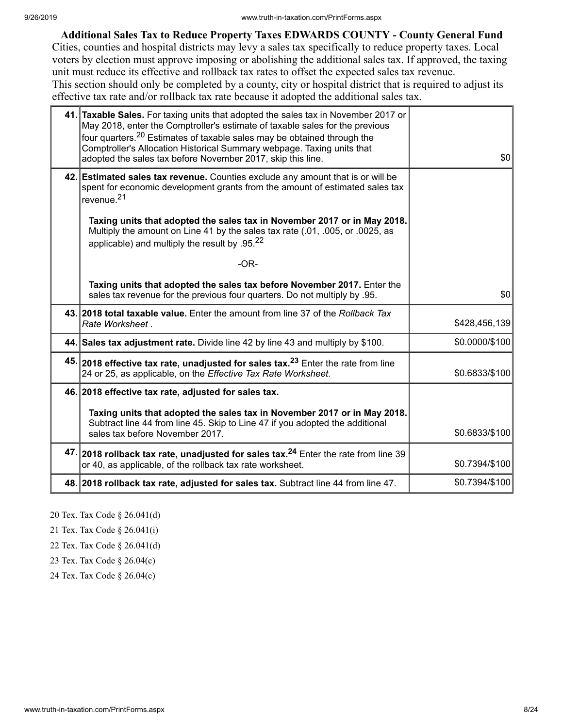**Additional Sales Tax to Reduce Property Taxes EDWARDS COUNTY - County General Fund**

Cities, counties and hospital districts may levy a sales tax specifically to reduce property taxes. Local voters by election must approve imposing or abolishing the additional sales tax. If approved, the taxing unit must reduce its effective and rollback tax rates to offset the expected sales tax revenue. This section should only be completed by a county, city or hospital district that is required to adjust its effective tax rate and/or rollback tax rate because it adopted the additional sales tax.

| 41. Taxable Sales. For taxing units that adopted the sales tax in November 2017 or<br>May 2018, enter the Comptroller's estimate of taxable sales for the previous<br>four quarters. <sup>20</sup> Estimates of taxable sales may be obtained through the<br>Comptroller's Allocation Historical Summary webpage. Taxing units that<br>adopted the sales tax before November 2017, skip this line. | \$0            |
|----------------------------------------------------------------------------------------------------------------------------------------------------------------------------------------------------------------------------------------------------------------------------------------------------------------------------------------------------------------------------------------------------|----------------|
| 42. Estimated sales tax revenue. Counties exclude any amount that is or will be<br>spent for economic development grants from the amount of estimated sales tax<br>revenue. <sup>21</sup>                                                                                                                                                                                                          |                |
| Taxing units that adopted the sales tax in November 2017 or in May 2018.<br>Multiply the amount on Line 41 by the sales tax rate (.01, .005, or .0025, as<br>applicable) and multiply the result by .95. $^{22}$                                                                                                                                                                                   |                |
| $-OR-$                                                                                                                                                                                                                                                                                                                                                                                             |                |
| Taxing units that adopted the sales tax before November 2017. Enter the<br>sales tax revenue for the previous four quarters. Do not multiply by .95.                                                                                                                                                                                                                                               | \$0            |
| 43. 2018 total taxable value. Enter the amount from line 37 of the Rollback Tax<br>Rate Worksheet.                                                                                                                                                                                                                                                                                                 | \$428,456,139  |
| 44. Sales tax adjustment rate. Divide line 42 by line 43 and multiply by \$100.                                                                                                                                                                                                                                                                                                                    | \$0.0000/\$100 |
| 45. 2018 effective tax rate, unadjusted for sales tax. <sup>23</sup> Enter the rate from line<br>24 or 25, as applicable, on the Effective Tax Rate Worksheet.                                                                                                                                                                                                                                     | \$0.6833/\$100 |
| 46. 2018 effective tax rate, adjusted for sales tax.                                                                                                                                                                                                                                                                                                                                               |                |
| Taxing units that adopted the sales tax in November 2017 or in May 2018.<br>Subtract line 44 from line 45. Skip to Line 47 if you adopted the additional<br>sales tax before November 2017.                                                                                                                                                                                                        | \$0.6833/\$100 |
| 47. 2018 rollback tax rate, unadjusted for sales tax. <sup>24</sup> Enter the rate from line 39<br>or 40, as applicable, of the rollback tax rate worksheet.                                                                                                                                                                                                                                       | \$0.7394/\$100 |
| 48. 2018 rollback tax rate, adjusted for sales tax. Subtract line 44 from line 47.                                                                                                                                                                                                                                                                                                                 | \$0.7394/\$100 |

20 Tex. Tax Code § 26.041(d)

21 Tex. Tax Code § 26.041(i)

22 Tex. Tax Code § 26.041(d)

23 Tex. Tax Code § 26.04(c)

24 Tex. Tax Code § 26.04(c)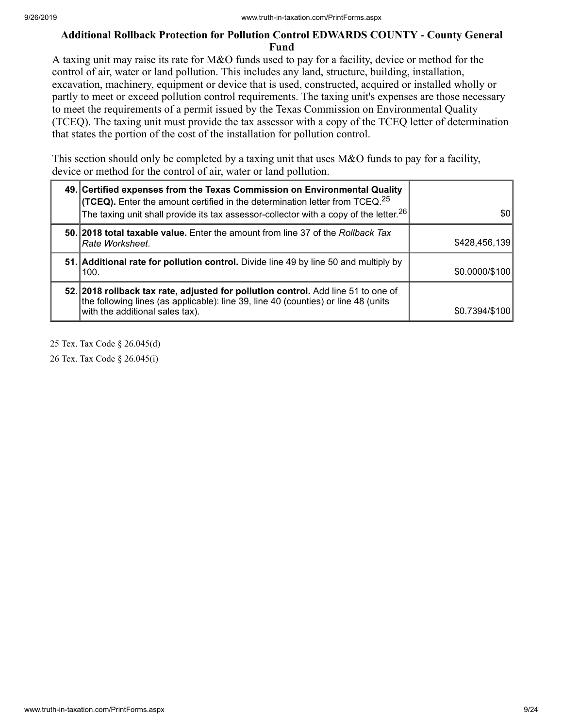### **Additional Rollback Protection for Pollution Control EDWARDS COUNTY - County General Fund**

A taxing unit may raise its rate for M&O funds used to pay for a facility, device or method for the control of air, water or land pollution. This includes any land, structure, building, installation, excavation, machinery, equipment or device that is used, constructed, acquired or installed wholly or partly to meet or exceed pollution control requirements. The taxing unit's expenses are those necessary to meet the requirements of a permit issued by the Texas Commission on Environmental Quality (TCEQ). The taxing unit must provide the tax assessor with a copy of the TCEQ letter of determination that states the portion of the cost of the installation for pollution control.

This section should only be completed by a taxing unit that uses M&O funds to pay for a facility, device or method for the control of air, water or land pollution.

| 49. Certified expenses from the Texas Commission on Environmental Quality<br><b>(TCEQ).</b> Enter the amount certified in the determination letter from TCEQ. <sup>25</sup><br>The taxing unit shall provide its tax assessor-collector with a copy of the letter. <sup>26</sup> | \$0            |
|----------------------------------------------------------------------------------------------------------------------------------------------------------------------------------------------------------------------------------------------------------------------------------|----------------|
| 50. 2018 total taxable value. Enter the amount from line 37 of the Rollback Tax<br>Rate Worksheet.                                                                                                                                                                               | \$428,456,139  |
| 51. Additional rate for pollution control. Divide line 49 by line 50 and multiply by<br>100.                                                                                                                                                                                     | \$0.0000/\$100 |
| 52. 2018 rollback tax rate, adjusted for pollution control. Add line 51 to one of<br>the following lines (as applicable): line 39, line 40 (counties) or line 48 (units<br>with the additional sales tax).                                                                       | \$0.7394/\$100 |

25 Tex. Tax Code § 26.045(d)

26 Tex. Tax Code § 26.045(i)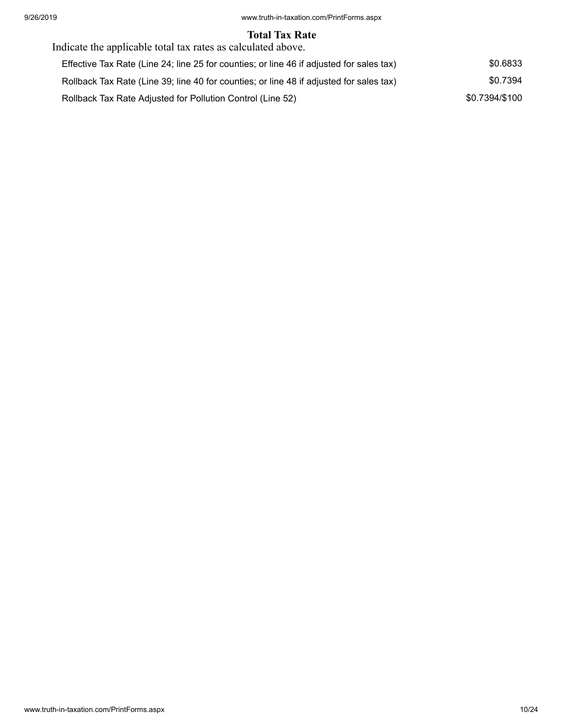### **Total Tax Rate**

| Indicate the applicable total tax rates as calculated above.                             |                |
|------------------------------------------------------------------------------------------|----------------|
| Effective Tax Rate (Line 24; line 25 for counties; or line 46 if adjusted for sales tax) | \$0.6833       |
| Rollback Tax Rate (Line 39; line 40 for counties; or line 48 if adjusted for sales tax)  | \$0.7394       |
| Rollback Tax Rate Adjusted for Pollution Control (Line 52)                               | \$0.7394/\$100 |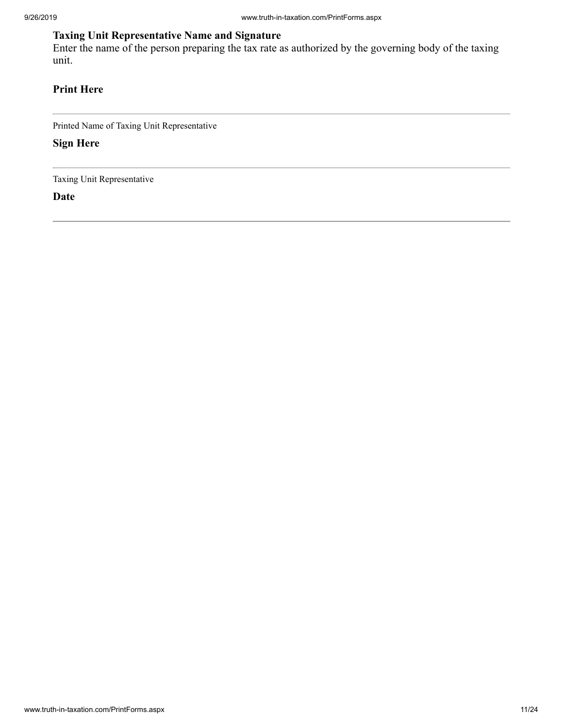## **Taxing Unit Representative Name and Signature**

Enter the name of the person preparing the tax rate as authorized by the governing body of the taxing unit.

## **Print Here**

Printed Name of Taxing Unit Representative

**Sign Here**

Taxing Unit Representative

**Date**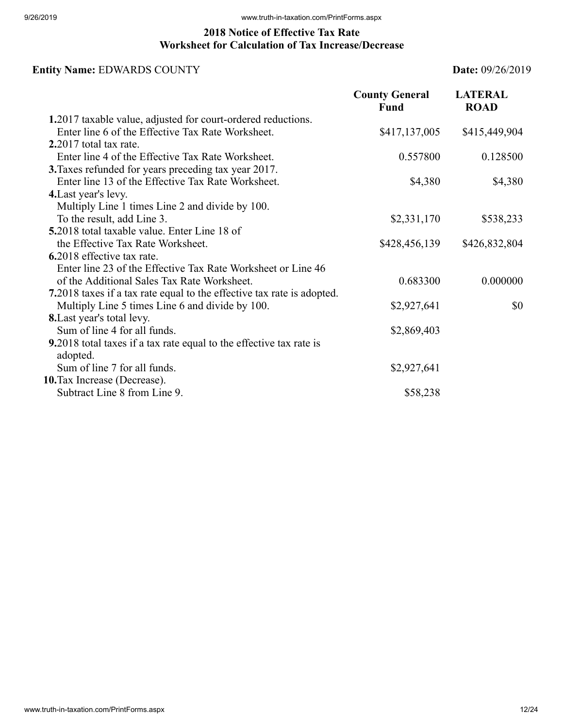### **2018 Notice of Effective Tax Rate Worksheet for Calculation of Tax Increase/Decrease**

## **Entity Name:** EDWARDS COUNTY **Date:** 09/26/2019

|                                                                                        | <b>County General</b><br>Fund | <b>LATERAL</b><br><b>ROAD</b> |
|----------------------------------------------------------------------------------------|-------------------------------|-------------------------------|
| 1.2017 taxable value, adjusted for court-ordered reductions.                           |                               |                               |
| Enter line 6 of the Effective Tax Rate Worksheet.                                      | \$417,137,005                 | \$415,449,904                 |
| 2.2017 total tax rate.                                                                 |                               |                               |
| Enter line 4 of the Effective Tax Rate Worksheet.                                      | 0.557800                      | 0.128500                      |
| 3. Taxes refunded for years preceding tax year 2017.                                   |                               |                               |
| Enter line 13 of the Effective Tax Rate Worksheet.                                     | \$4,380                       | \$4,380                       |
| 4. Last year's levy.                                                                   |                               |                               |
| Multiply Line 1 times Line 2 and divide by 100.                                        |                               |                               |
| To the result, add Line 3.                                                             | \$2,331,170                   | \$538,233                     |
| <b>5.2018</b> total taxable value. Enter Line 18 of                                    |                               |                               |
| the Effective Tax Rate Worksheet.                                                      | \$428,456,139                 | \$426,832,804                 |
| 6.2018 effective tax rate.                                                             |                               |                               |
| Enter line 23 of the Effective Tax Rate Worksheet or Line 46                           |                               |                               |
| of the Additional Sales Tax Rate Worksheet.                                            | 0.683300                      | 0.000000                      |
| 7.2018 taxes if a tax rate equal to the effective tax rate is adopted.                 |                               |                               |
| Multiply Line 5 times Line 6 and divide by 100.                                        | \$2,927,641                   | \$0                           |
| <b>8.</b> Last year's total levy.                                                      |                               |                               |
| Sum of line 4 for all funds.                                                           | \$2,869,403                   |                               |
| <b>9.2018</b> total taxes if a tax rate equal to the effective tax rate is<br>adopted. |                               |                               |
| Sum of line 7 for all funds.                                                           | \$2,927,641                   |                               |
| 10. Tax Increase (Decrease).                                                           |                               |                               |
| Subtract Line 8 from Line 9.                                                           | \$58,238                      |                               |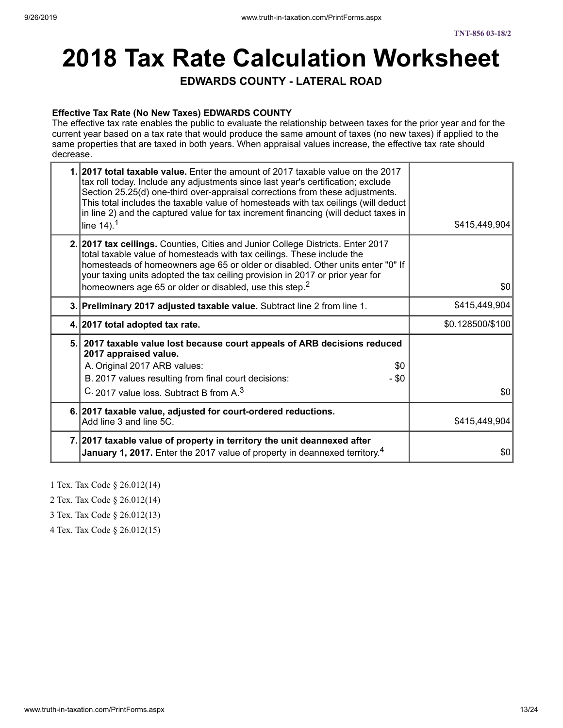# **2018 Tax Rate Calculation Worksheet**

**EDWARDS COUNTY - LATERAL ROAD**

### **Effective Tax Rate (No New Taxes) EDWARDS COUNTY**

The effective tax rate enables the public to evaluate the relationship between taxes for the prior year and for the current year based on a tax rate that would produce the same amount of taxes (no new taxes) if applied to the same properties that are taxed in both years. When appraisal values increase, the effective tax rate should decrease.

| 1.2017 total taxable value. Enter the amount of 2017 taxable value on the 2017<br>tax roll today. Include any adjustments since last year's certification; exclude<br>Section 25.25(d) one-third over-appraisal corrections from these adjustments.<br>This total includes the taxable value of homesteads with tax ceilings (will deduct<br>in line 2) and the captured value for tax increment financing (will deduct taxes in<br>line $14$ ). <sup>1</sup> | \$415,449,904    |
|---------------------------------------------------------------------------------------------------------------------------------------------------------------------------------------------------------------------------------------------------------------------------------------------------------------------------------------------------------------------------------------------------------------------------------------------------------------|------------------|
| 2. 2017 tax ceilings. Counties, Cities and Junior College Districts. Enter 2017<br>total taxable value of homesteads with tax ceilings. These include the<br>homesteads of homeowners age 65 or older or disabled. Other units enter "0" If<br>your taxing units adopted the tax ceiling provision in 2017 or prior year for<br>homeowners age 65 or older or disabled, use this step. <sup>2</sup>                                                           | 30               |
| 3. Preliminary 2017 adjusted taxable value. Subtract line 2 from line 1.                                                                                                                                                                                                                                                                                                                                                                                      | \$415,449,904    |
| 4. 2017 total adopted tax rate.                                                                                                                                                                                                                                                                                                                                                                                                                               | \$0.128500/\$100 |
| 5. 2017 taxable value lost because court appeals of ARB decisions reduced<br>2017 appraised value.<br>A. Original 2017 ARB values:<br>\$0<br>B. 2017 values resulting from final court decisions:<br>$-$ \$0                                                                                                                                                                                                                                                  |                  |
| C. 2017 value loss. Subtract B from A. <sup>3</sup>                                                                                                                                                                                                                                                                                                                                                                                                           | \$0 <sub>1</sub> |
| 6. 2017 taxable value, adjusted for court-ordered reductions.<br>Add line 3 and line 5C.                                                                                                                                                                                                                                                                                                                                                                      | \$415,449,904    |
| 7. 2017 taxable value of property in territory the unit deannexed after<br><b>January 1, 2017.</b> Enter the 2017 value of property in deannexed territory. <sup>4</sup>                                                                                                                                                                                                                                                                                      | \$0              |

1 Tex. Tax Code § 26.012(14)

2 Tex. Tax Code § 26.012(14)

3 Tex. Tax Code § 26.012(13)

4 Tex. Tax Code § 26.012(15)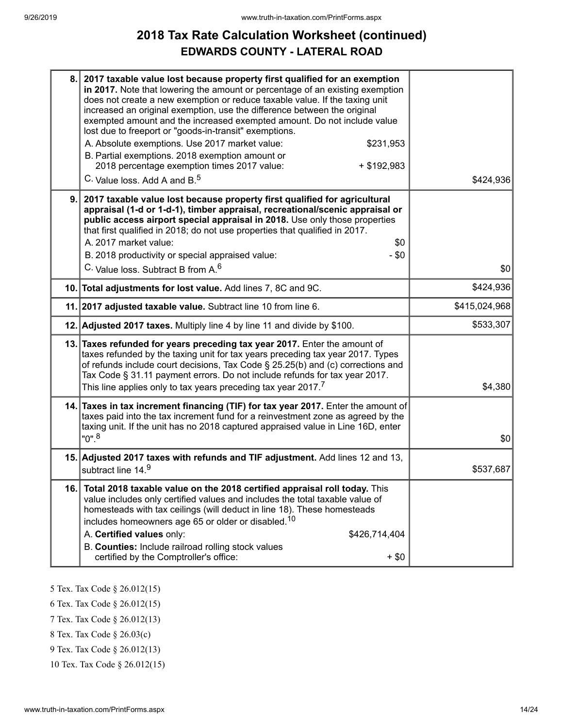# **2018 Tax Rate Calculation Worksheet (continued) EDWARDS COUNTY - LATERAL ROAD**

| 8.  | 2017 taxable value lost because property first qualified for an exemption<br>in 2017. Note that lowering the amount or percentage of an existing exemption<br>does not create a new exemption or reduce taxable value. If the taxing unit<br>increased an original exemption, use the difference between the original<br>exempted amount and the increased exempted amount. Do not include value<br>lost due to freeport or "goods-in-transit" exemptions.<br>A. Absolute exemptions. Use 2017 market value:<br>\$231,953<br>B. Partial exemptions. 2018 exemption amount or<br>2018 percentage exemption times 2017 value:<br>$+$ \$192,983<br>C. Value loss. Add A and B. <sup>5</sup> | \$424,936     |
|-----|------------------------------------------------------------------------------------------------------------------------------------------------------------------------------------------------------------------------------------------------------------------------------------------------------------------------------------------------------------------------------------------------------------------------------------------------------------------------------------------------------------------------------------------------------------------------------------------------------------------------------------------------------------------------------------------|---------------|
| 9.  | 2017 taxable value lost because property first qualified for agricultural<br>appraisal (1-d or 1-d-1), timber appraisal, recreational/scenic appraisal or<br>public access airport special appraisal in 2018. Use only those properties<br>that first qualified in 2018; do not use properties that qualified in 2017.<br>A. 2017 market value:<br>\$0<br>B. 2018 productivity or special appraised value:<br>$-$ \$0<br>C. Value loss. Subtract B from A. <sup>6</sup>                                                                                                                                                                                                                  | \$0           |
|     | 10. Total adjustments for lost value. Add lines 7, 8C and 9C.                                                                                                                                                                                                                                                                                                                                                                                                                                                                                                                                                                                                                            | \$424,936     |
|     | 11. 2017 adjusted taxable value. Subtract line 10 from line 6.                                                                                                                                                                                                                                                                                                                                                                                                                                                                                                                                                                                                                           | \$415,024,968 |
|     | 12. Adjusted 2017 taxes. Multiply line 4 by line 11 and divide by \$100.                                                                                                                                                                                                                                                                                                                                                                                                                                                                                                                                                                                                                 | \$533,307     |
|     | 13. Taxes refunded for years preceding tax year 2017. Enter the amount of<br>taxes refunded by the taxing unit for tax years preceding tax year 2017. Types<br>of refunds include court decisions, Tax Code § 25.25(b) and (c) corrections and<br>Tax Code § 31.11 payment errors. Do not include refunds for tax year 2017.<br>This line applies only to tax years preceding tax year 2017. <sup>7</sup>                                                                                                                                                                                                                                                                                | \$4,380       |
|     | 14. Taxes in tax increment financing (TIF) for tax year 2017. Enter the amount of<br>taxes paid into the tax increment fund for a reinvestment zone as agreed by the<br>taxing unit. If the unit has no 2018 captured appraised value in Line 16D, enter<br>$"0"$ . <sup>8</sup>                                                                                                                                                                                                                                                                                                                                                                                                         | \$0           |
|     | 15. Adjusted 2017 taxes with refunds and TIF adjustment. Add lines 12 and 13,<br>subtract line 14.9                                                                                                                                                                                                                                                                                                                                                                                                                                                                                                                                                                                      | \$537,687     |
| 16. | Total 2018 taxable value on the 2018 certified appraisal roll today. This<br>value includes only certified values and includes the total taxable value of<br>homesteads with tax ceilings (will deduct in line 18). These homesteads<br>includes homeowners age 65 or older or disabled. <sup>10</sup><br>A. Certified values only:<br>\$426,714,404<br>B. Counties: Include railroad rolling stock values<br>certified by the Comptroller's office:<br>$+$ \$0                                                                                                                                                                                                                          |               |

5 Tex. Tax Code § 26.012(15)

6 Tex. Tax Code § 26.012(15)

7 Tex. Tax Code § 26.012(13)

8 Tex. Tax Code § 26.03(c)

9 Tex. Tax Code § 26.012(13)

10 Tex. Tax Code § 26.012(15)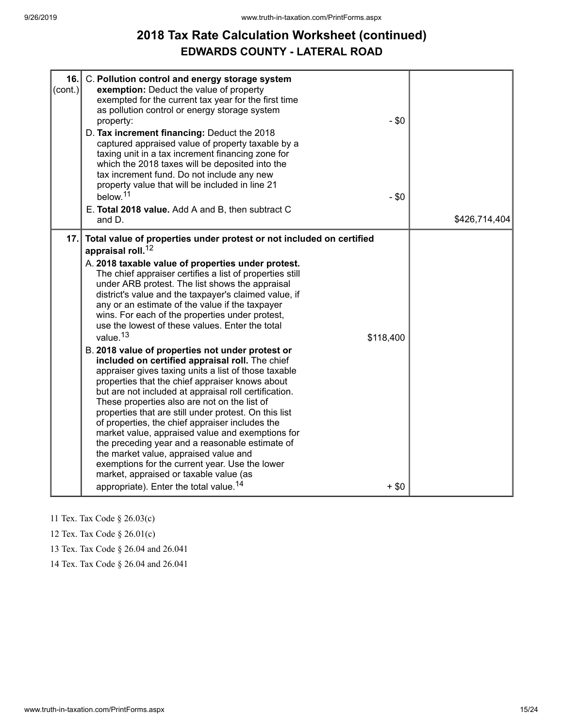# **2018 Tax Rate Calculation Worksheet (continued) EDWARDS COUNTY - LATERAL ROAD**

| 16.<br>$\text{(cont.)}$ | C. Pollution control and energy storage system<br>exemption: Deduct the value of property<br>exempted for the current tax year for the first time<br>as pollution control or energy storage system<br>property:<br>D. Tax increment financing: Deduct the 2018<br>captured appraised value of property taxable by a<br>taxing unit in a tax increment financing zone for<br>which the 2018 taxes will be deposited into the<br>tax increment fund. Do not include any new<br>property value that will be included in line 21<br>below. <sup>11</sup><br>E. Total 2018 value. Add A and B, then subtract C<br>and D.                                                                                                                                                                                                                                                                                                                                                                                                                                                                                                                                                                                                                                           | $-$ \$0<br>$-$ \$0   | \$426,714,404 |
|-------------------------|---------------------------------------------------------------------------------------------------------------------------------------------------------------------------------------------------------------------------------------------------------------------------------------------------------------------------------------------------------------------------------------------------------------------------------------------------------------------------------------------------------------------------------------------------------------------------------------------------------------------------------------------------------------------------------------------------------------------------------------------------------------------------------------------------------------------------------------------------------------------------------------------------------------------------------------------------------------------------------------------------------------------------------------------------------------------------------------------------------------------------------------------------------------------------------------------------------------------------------------------------------------|----------------------|---------------|
| 17.                     | Total value of properties under protest or not included on certified<br>appraisal roll. <sup>12</sup><br>A. 2018 taxable value of properties under protest.<br>The chief appraiser certifies a list of properties still<br>under ARB protest. The list shows the appraisal<br>district's value and the taxpayer's claimed value, if<br>any or an estimate of the value if the taxpayer<br>wins. For each of the properties under protest,<br>use the lowest of these values. Enter the total<br>value. <sup>13</sup><br>B. 2018 value of properties not under protest or<br>included on certified appraisal roll. The chief<br>appraiser gives taxing units a list of those taxable<br>properties that the chief appraiser knows about<br>but are not included at appraisal roll certification.<br>These properties also are not on the list of<br>properties that are still under protest. On this list<br>of properties, the chief appraiser includes the<br>market value, appraised value and exemptions for<br>the preceding year and a reasonable estimate of<br>the market value, appraised value and<br>exemptions for the current year. Use the lower<br>market, appraised or taxable value (as<br>appropriate). Enter the total value. <sup>14</sup> | \$118,400<br>$+$ \$0 |               |

11 Tex. Tax Code § 26.03(c)

12 Tex. Tax Code § 26.01(c)

13 Tex. Tax Code § 26.04 and 26.041

14 Tex. Tax Code § 26.04 and 26.041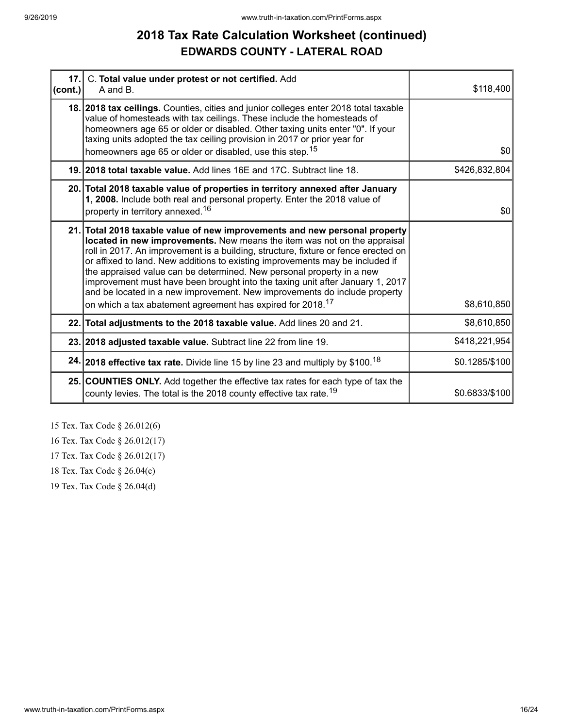# **2018 Tax Rate Calculation Worksheet (continued) EDWARDS COUNTY - LATERAL ROAD**

| $ $ (cont.) | 17. C. Total value under protest or not certified. Add<br>A and B.                                                                                                                                                                                                                                                                                                                                                                                                                                                                                                                                                                             | \$118,400      |
|-------------|------------------------------------------------------------------------------------------------------------------------------------------------------------------------------------------------------------------------------------------------------------------------------------------------------------------------------------------------------------------------------------------------------------------------------------------------------------------------------------------------------------------------------------------------------------------------------------------------------------------------------------------------|----------------|
|             | 18. 2018 tax ceilings. Counties, cities and junior colleges enter 2018 total taxable<br>value of homesteads with tax ceilings. These include the homesteads of<br>homeowners age 65 or older or disabled. Other taxing units enter "0". If your<br>taxing units adopted the tax ceiling provision in 2017 or prior year for<br>homeowners age 65 or older or disabled, use this step. <sup>15</sup>                                                                                                                                                                                                                                            | \$0            |
|             | 19. 2018 total taxable value. Add lines 16E and 17C. Subtract line 18.                                                                                                                                                                                                                                                                                                                                                                                                                                                                                                                                                                         | \$426,832,804  |
|             | 20. Total 2018 taxable value of properties in territory annexed after January<br>1, 2008. Include both real and personal property. Enter the 2018 value of<br>property in territory annexed. <sup>16</sup>                                                                                                                                                                                                                                                                                                                                                                                                                                     | \$0            |
|             | 21. Total 2018 taxable value of new improvements and new personal property<br>located in new improvements. New means the item was not on the appraisal<br>roll in 2017. An improvement is a building, structure, fixture or fence erected on<br>or affixed to land. New additions to existing improvements may be included if<br>the appraised value can be determined. New personal property in a new<br>improvement must have been brought into the taxing unit after January 1, 2017<br>and be located in a new improvement. New improvements do include property<br>on which a tax abatement agreement has expired for 2018. <sup>17</sup> | \$8,610,850    |
|             | 22. Total adjustments to the 2018 taxable value. Add lines 20 and 21.                                                                                                                                                                                                                                                                                                                                                                                                                                                                                                                                                                          | \$8,610,850    |
|             | 23. 2018 adjusted taxable value. Subtract line 22 from line 19.                                                                                                                                                                                                                                                                                                                                                                                                                                                                                                                                                                                | \$418,221,954  |
|             | 24. 2018 effective tax rate. Divide line 15 by line 23 and multiply by \$100. <sup>18</sup>                                                                                                                                                                                                                                                                                                                                                                                                                                                                                                                                                    | \$0.1285/\$100 |
|             | 25. COUNTIES ONLY. Add together the effective tax rates for each type of tax the<br>county levies. The total is the 2018 county effective tax rate. <sup>19</sup>                                                                                                                                                                                                                                                                                                                                                                                                                                                                              | \$0.6833/\$100 |

15 Tex. Tax Code § 26.012(6)

16 Tex. Tax Code § 26.012(17)

17 Tex. Tax Code § 26.012(17)

18 Tex. Tax Code § 26.04(c)

19 Tex. Tax Code § 26.04(d)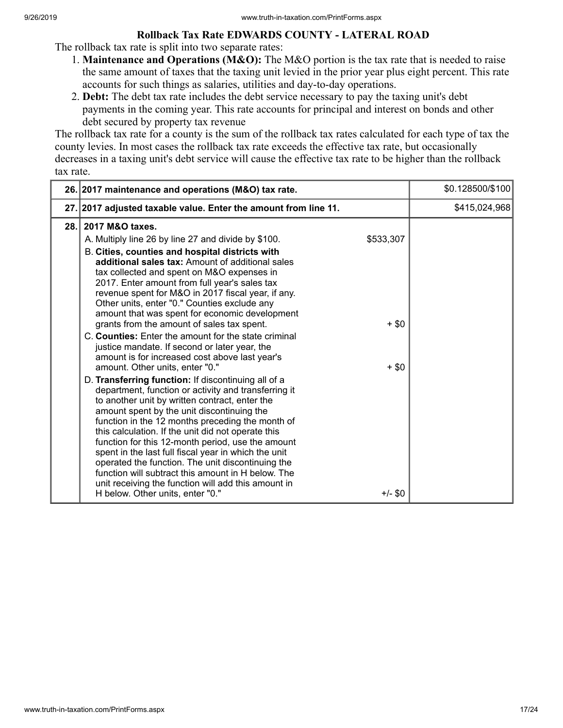### **Rollback Tax Rate EDWARDS COUNTY - LATERAL ROAD**

The rollback tax rate is split into two separate rates:

- 1. **Maintenance and Operations (M&O):** The M&O portion is the tax rate that is needed to raise the same amount of taxes that the taxing unit levied in the prior year plus eight percent. This rate accounts for such things as salaries, utilities and day-to-day operations.
- 2. **Debt:** The debt tax rate includes the debt service necessary to pay the taxing unit's debt payments in the coming year. This rate accounts for principal and interest on bonds and other debt secured by property tax revenue

The rollback tax rate for a county is the sum of the rollback tax rates calculated for each type of tax the county levies. In most cases the rollback tax rate exceeds the effective tax rate, but occasionally decreases in a taxing unit's debt service will cause the effective tax rate to be higher than the rollback tax rate.

| \$415,024,968<br>27. 2017 adjusted taxable value. Enter the amount from line 11.<br>2017 M&O taxes.<br>28.1<br>\$533,307<br>A. Multiply line 26 by line 27 and divide by \$100.<br>B. Cities, counties and hospital districts with                                                                                                                                                                                                                                                                                                                                                                                                                                                                                                                                                                                                                                                                                                                                                                                                                                                                                                                                                                                                 |
|------------------------------------------------------------------------------------------------------------------------------------------------------------------------------------------------------------------------------------------------------------------------------------------------------------------------------------------------------------------------------------------------------------------------------------------------------------------------------------------------------------------------------------------------------------------------------------------------------------------------------------------------------------------------------------------------------------------------------------------------------------------------------------------------------------------------------------------------------------------------------------------------------------------------------------------------------------------------------------------------------------------------------------------------------------------------------------------------------------------------------------------------------------------------------------------------------------------------------------|
|                                                                                                                                                                                                                                                                                                                                                                                                                                                                                                                                                                                                                                                                                                                                                                                                                                                                                                                                                                                                                                                                                                                                                                                                                                    |
| additional sales tax: Amount of additional sales<br>tax collected and spent on M&O expenses in<br>2017. Enter amount from full year's sales tax<br>revenue spent for M&O in 2017 fiscal year, if any.<br>Other units, enter "0." Counties exclude any<br>amount that was spent for economic development<br>grants from the amount of sales tax spent.<br>$+$ \$0<br>C. Counties: Enter the amount for the state criminal<br>justice mandate. If second or later year, the<br>amount is for increased cost above last year's<br>amount. Other units, enter "0."<br>$+$ \$0<br>D. Transferring function: If discontinuing all of a<br>department, function or activity and transferring it<br>to another unit by written contract, enter the<br>amount spent by the unit discontinuing the<br>function in the 12 months preceding the month of<br>this calculation. If the unit did not operate this<br>function for this 12-month period, use the amount<br>spent in the last full fiscal year in which the unit<br>operated the function. The unit discontinuing the<br>function will subtract this amount in H below. The<br>unit receiving the function will add this amount in<br>$+/-$ \$0<br>H below. Other units, enter "0." |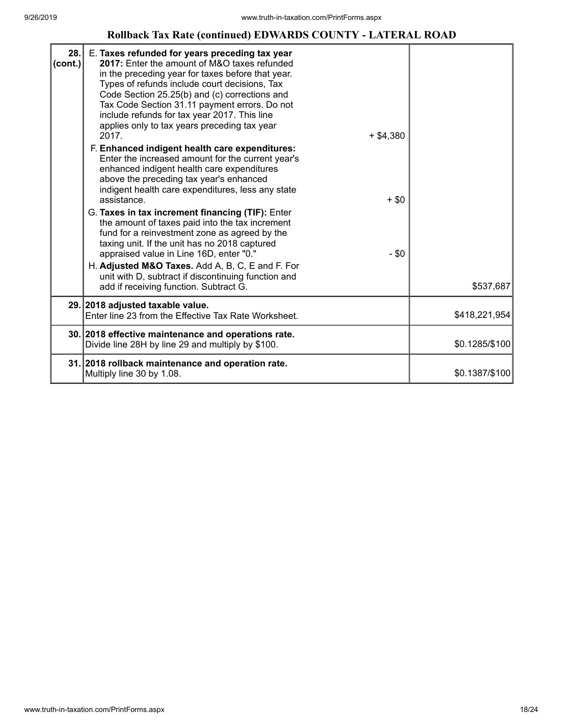## **Rollback Tax Rate (continued) EDWARDS COUNTY - LATERAL ROAD**

| 28.<br>$ cont.$ ) | E. Taxes refunded for years preceding tax year<br>2017: Enter the amount of M&O taxes refunded<br>in the preceding year for taxes before that year.<br>Types of refunds include court decisions, Tax<br>Code Section 25.25(b) and (c) corrections and<br>Tax Code Section 31.11 payment errors. Do not<br>include refunds for tax year 2017. This line<br>applies only to tax years preceding tax year<br>2017.<br>$+$ \$4,380<br>F. Enhanced indigent health care expenditures:<br>Enter the increased amount for the current year's<br>enhanced indigent health care expenditures<br>above the preceding tax year's enhanced<br>indigent health care expenditures, less any state<br>$+ $0$<br>assistance.<br>G. Taxes in tax increment financing (TIF): Enter<br>the amount of taxes paid into the tax increment<br>fund for a reinvestment zone as agreed by the<br>taxing unit. If the unit has no 2018 captured<br>appraised value in Line 16D, enter "0."<br>$-$ \$0<br>H. Adjusted M&O Taxes. Add A, B, C, E and F. For<br>unit with D, subtract if discontinuing function and<br>add if receiving function. Subtract G. | \$537,687      |
|-------------------|----------------------------------------------------------------------------------------------------------------------------------------------------------------------------------------------------------------------------------------------------------------------------------------------------------------------------------------------------------------------------------------------------------------------------------------------------------------------------------------------------------------------------------------------------------------------------------------------------------------------------------------------------------------------------------------------------------------------------------------------------------------------------------------------------------------------------------------------------------------------------------------------------------------------------------------------------------------------------------------------------------------------------------------------------------------------------------------------------------------------------------|----------------|
|                   | 29. 2018 adjusted taxable value.                                                                                                                                                                                                                                                                                                                                                                                                                                                                                                                                                                                                                                                                                                                                                                                                                                                                                                                                                                                                                                                                                                 |                |
|                   | Enter line 23 from the Effective Tax Rate Worksheet.                                                                                                                                                                                                                                                                                                                                                                                                                                                                                                                                                                                                                                                                                                                                                                                                                                                                                                                                                                                                                                                                             | \$418,221,954  |
|                   | 30. 2018 effective maintenance and operations rate.<br>Divide line 28H by line 29 and multiply by \$100.                                                                                                                                                                                                                                                                                                                                                                                                                                                                                                                                                                                                                                                                                                                                                                                                                                                                                                                                                                                                                         | \$0.1285/\$100 |
|                   | 31. 2018 rollback maintenance and operation rate.<br>Multiply line 30 by 1.08.                                                                                                                                                                                                                                                                                                                                                                                                                                                                                                                                                                                                                                                                                                                                                                                                                                                                                                                                                                                                                                                   | \$0.1387/\$100 |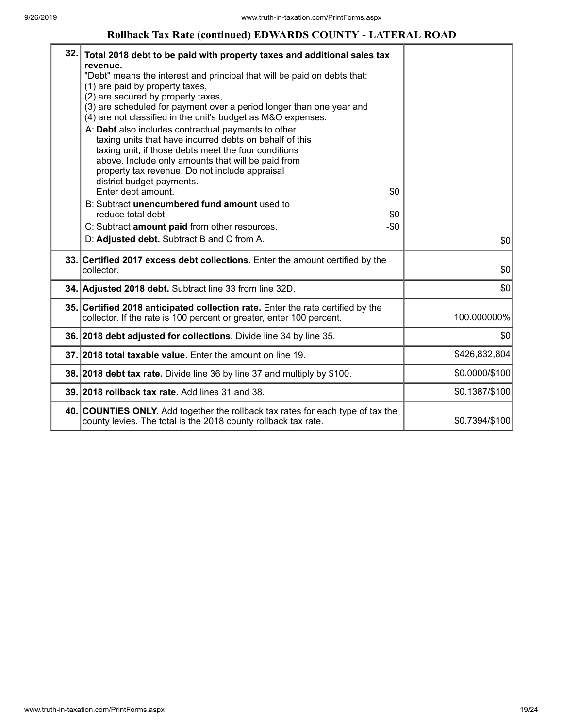### **Rollback Tax Rate (continued) EDWARDS COUNTY - LATERAL ROAD**

| 32. | Total 2018 debt to be paid with property taxes and additional sales tax<br>revenue.<br>"Debt" means the interest and principal that will be paid on debts that:<br>(1) are paid by property taxes,<br>(2) are secured by property taxes,<br>(3) are scheduled for payment over a period longer than one year and<br>(4) are not classified in the unit's budget as M&O expenses.<br>A: Debt also includes contractual payments to other<br>taxing units that have incurred debts on behalf of this<br>taxing unit, if those debts meet the four conditions<br>above. Include only amounts that will be paid from<br>property tax revenue. Do not include appraisal<br>district budget payments.<br>Enter debt amount.<br>\$0 |                |
|-----|------------------------------------------------------------------------------------------------------------------------------------------------------------------------------------------------------------------------------------------------------------------------------------------------------------------------------------------------------------------------------------------------------------------------------------------------------------------------------------------------------------------------------------------------------------------------------------------------------------------------------------------------------------------------------------------------------------------------------|----------------|
|     | B: Subtract unencumbered fund amount used to<br>reduce total debt.<br>$-\$0$<br>$-\$0$<br>C: Subtract amount paid from other resources.<br>D: Adjusted debt. Subtract B and C from A.                                                                                                                                                                                                                                                                                                                                                                                                                                                                                                                                        | \$0            |
|     | 33. Certified 2017 excess debt collections. Enter the amount certified by the<br>collector.                                                                                                                                                                                                                                                                                                                                                                                                                                                                                                                                                                                                                                  | \$0            |
|     | 34. Adjusted 2018 debt. Subtract line 33 from line 32D.                                                                                                                                                                                                                                                                                                                                                                                                                                                                                                                                                                                                                                                                      | \$0            |
|     | 35. Certified 2018 anticipated collection rate. Enter the rate certified by the<br>collector. If the rate is 100 percent or greater, enter 100 percent.                                                                                                                                                                                                                                                                                                                                                                                                                                                                                                                                                                      | 100.000000%    |
|     | 36. 2018 debt adjusted for collections. Divide line 34 by line 35.                                                                                                                                                                                                                                                                                                                                                                                                                                                                                                                                                                                                                                                           | \$0            |
|     | 37. 2018 total taxable value. Enter the amount on line 19.                                                                                                                                                                                                                                                                                                                                                                                                                                                                                                                                                                                                                                                                   | \$426,832,804  |
|     | 38. 2018 debt tax rate. Divide line 36 by line 37 and multiply by \$100.                                                                                                                                                                                                                                                                                                                                                                                                                                                                                                                                                                                                                                                     | \$0.0000/\$100 |
|     | 39. 2018 rollback tax rate. Add lines 31 and 38.                                                                                                                                                                                                                                                                                                                                                                                                                                                                                                                                                                                                                                                                             | \$0.1387/\$100 |
|     | 40. COUNTIES ONLY. Add together the rollback tax rates for each type of tax the<br>county levies. The total is the 2018 county rollback tax rate.                                                                                                                                                                                                                                                                                                                                                                                                                                                                                                                                                                            | \$0.7394/\$100 |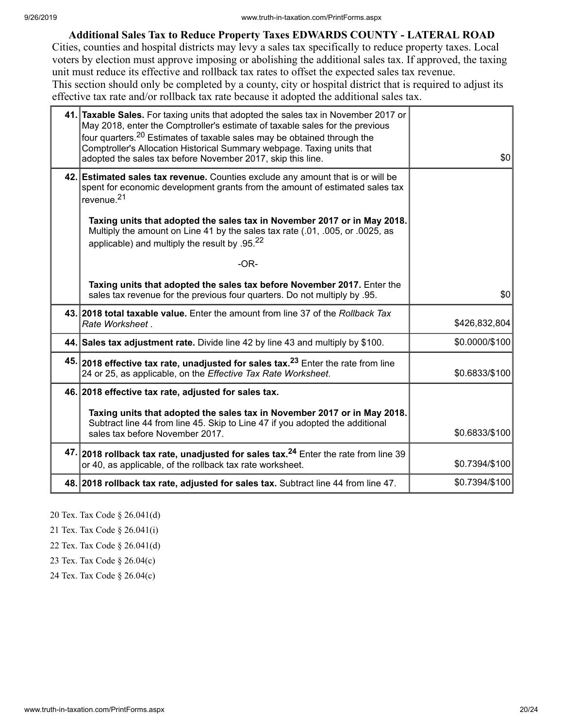### **Additional Sales Tax to Reduce Property Taxes EDWARDS COUNTY - LATERAL ROAD**

Cities, counties and hospital districts may levy a sales tax specifically to reduce property taxes. Local voters by election must approve imposing or abolishing the additional sales tax. If approved, the taxing unit must reduce its effective and rollback tax rates to offset the expected sales tax revenue. This section should only be completed by a county, city or hospital district that is required to adjust its effective tax rate and/or rollback tax rate because it adopted the additional sales tax.

| adopted the sales tax before November 2017, skip this line.   | 41. Taxable Sales. For taxing units that adopted the sales tax in November 2017 or<br>May 2018, enter the Comptroller's estimate of taxable sales for the previous<br>four quarters. <sup>20</sup> Estimates of taxable sales may be obtained through the<br>Comptroller's Allocation Historical Summary webpage. Taxing units that | \$0            |
|---------------------------------------------------------------|-------------------------------------------------------------------------------------------------------------------------------------------------------------------------------------------------------------------------------------------------------------------------------------------------------------------------------------|----------------|
| revenue. <sup>21</sup>                                        | 42. Estimated sales tax revenue. Counties exclude any amount that is or will be<br>spent for economic development grants from the amount of estimated sales tax                                                                                                                                                                     |                |
| applicable) and multiply the result by $.95^{22}$             | Taxing units that adopted the sales tax in November 2017 or in May 2018.<br>Multiply the amount on Line 41 by the sales tax rate (.01, .005, or .0025, as                                                                                                                                                                           |                |
|                                                               | $-OR-$                                                                                                                                                                                                                                                                                                                              |                |
|                                                               | Taxing units that adopted the sales tax before November 2017. Enter the<br>sales tax revenue for the previous four quarters. Do not multiply by .95.                                                                                                                                                                                | \$0            |
| Rate Worksheet.                                               | 43. 2018 total taxable value. Enter the amount from line 37 of the Rollback Tax                                                                                                                                                                                                                                                     | \$426,832,804  |
|                                                               | 44. Sales tax adjustment rate. Divide line 42 by line 43 and multiply by \$100.                                                                                                                                                                                                                                                     | \$0.0000/\$100 |
| 24 or 25, as applicable, on the Effective Tax Rate Worksheet. | 45. 2018 effective tax rate, unadjusted for sales tax. <sup>23</sup> Enter the rate from line                                                                                                                                                                                                                                       | \$0.6833/\$100 |
| 46. 2018 effective tax rate, adjusted for sales tax.          |                                                                                                                                                                                                                                                                                                                                     |                |
| sales tax before November 2017.                               | Taxing units that adopted the sales tax in November 2017 or in May 2018.<br>Subtract line 44 from line 45. Skip to Line 47 if you adopted the additional                                                                                                                                                                            | \$0.6833/\$100 |
| or 40, as applicable, of the rollback tax rate worksheet.     | 47. 2018 rollback tax rate, unadjusted for sales tax. <sup>24</sup> Enter the rate from line 39                                                                                                                                                                                                                                     | \$0.7394/\$100 |
|                                                               | 48. 2018 rollback tax rate, adjusted for sales tax. Subtract line 44 from line 47.                                                                                                                                                                                                                                                  | \$0.7394/\$100 |

20 Tex. Tax Code § 26.041(d)

21 Tex. Tax Code § 26.041(i)

22 Tex. Tax Code § 26.041(d)

23 Tex. Tax Code § 26.04(c)

24 Tex. Tax Code § 26.04(c)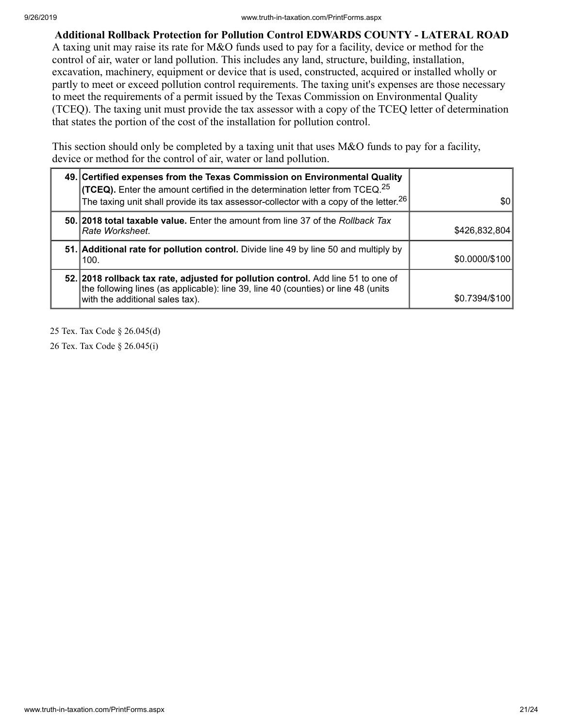**Additional Rollback Protection for Pollution Control EDWARDS COUNTY - LATERAL ROAD** A taxing unit may raise its rate for M&O funds used to pay for a facility, device or method for the control of air, water or land pollution. This includes any land, structure, building, installation, excavation, machinery, equipment or device that is used, constructed, acquired or installed wholly or partly to meet or exceed pollution control requirements. The taxing unit's expenses are those necessary to meet the requirements of a permit issued by the Texas Commission on Environmental Quality (TCEQ). The taxing unit must provide the tax assessor with a copy of the TCEQ letter of determination that states the portion of the cost of the installation for pollution control.

This section should only be completed by a taxing unit that uses M&O funds to pay for a facility, device or method for the control of air, water or land pollution.

| 49. Certified expenses from the Texas Commission on Environmental Quality<br><b>(TCEQ).</b> Enter the amount certified in the determination letter from TCEQ. <sup>25</sup><br>The taxing unit shall provide its tax assessor-collector with a copy of the letter. <sup>26</sup> | \$0            |
|----------------------------------------------------------------------------------------------------------------------------------------------------------------------------------------------------------------------------------------------------------------------------------|----------------|
| 50. 2018 total taxable value. Enter the amount from line 37 of the Rollback Tax<br>Rate Worksheet.                                                                                                                                                                               | \$426,832,804  |
| 51. Additional rate for pollution control. Divide line 49 by line 50 and multiply by<br>100.                                                                                                                                                                                     | \$0.0000/\$100 |
| 52. 2018 rollback tax rate, adjusted for pollution control. Add line 51 to one of<br>the following lines (as applicable): line 39, line 40 (counties) or line 48 (units<br>with the additional sales tax).                                                                       | \$0.7394/\$100 |

25 Tex. Tax Code § 26.045(d)

26 Tex. Tax Code § 26.045(i)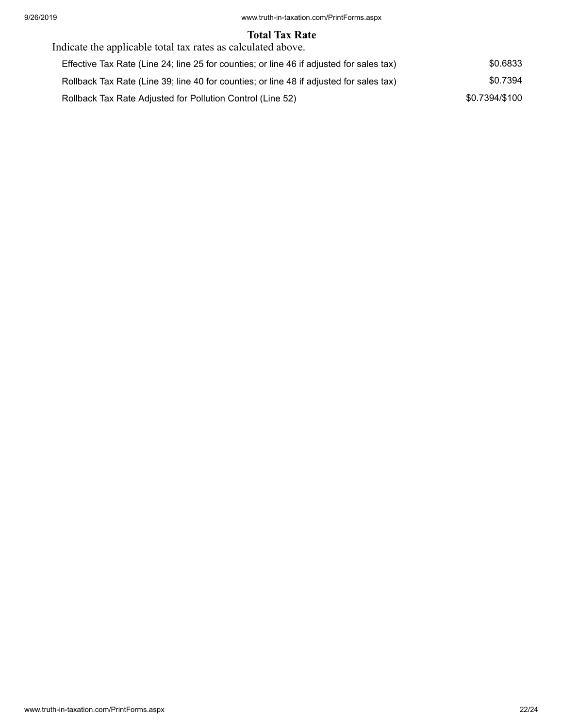### **Total Tax Rate**

| Indicate the applicable total tax rates as calculated above.                             |                |
|------------------------------------------------------------------------------------------|----------------|
| Effective Tax Rate (Line 24; line 25 for counties; or line 46 if adjusted for sales tax) | \$0.6833       |
| Rollback Tax Rate (Line 39; line 40 for counties; or line 48 if adjusted for sales tax)  | \$0.7394       |
| Rollback Tax Rate Adjusted for Pollution Control (Line 52)                               | \$0.7394/\$100 |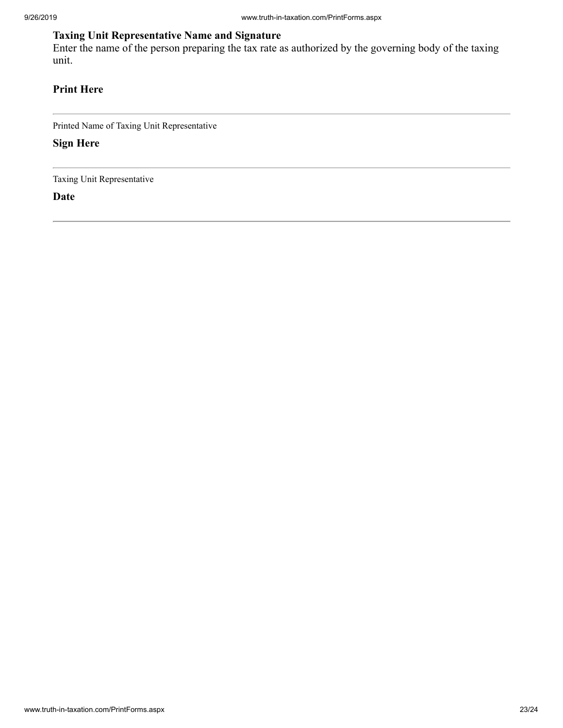## **Taxing Unit Representative Name and Signature**

Enter the name of the person preparing the tax rate as authorized by the governing body of the taxing unit.

## **Print Here**

Printed Name of Taxing Unit Representative

**Sign Here**

Taxing Unit Representative

**Date**